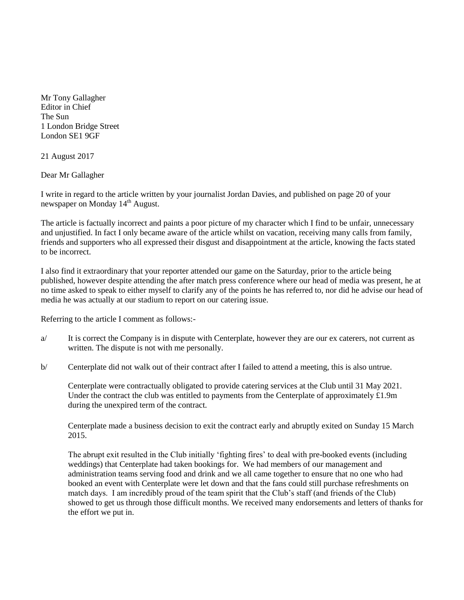Mr Tony Gallagher Editor in Chief The Sun 1 London Bridge Street London SE1 9GF

21 August 2017

Dear Mr Gallagher

I write in regard to the article written by your journalist Jordan Davies, and published on page 20 of your newspaper on Monday 14<sup>th</sup> August.

The article is factually incorrect and paints a poor picture of my character which I find to be unfair, unnecessary and unjustified. In fact I only became aware of the article whilst on vacation, receiving many calls from family, friends and supporters who all expressed their disgust and disappointment at the article, knowing the facts stated to be incorrect.

I also find it extraordinary that your reporter attended our game on the Saturday, prior to the article being published, however despite attending the after match press conference where our head of media was present, he at no time asked to speak to either myself to clarify any of the points he has referred to, nor did he advise our head of media he was actually at our stadium to report on our catering issue.

Referring to the article I comment as follows:-

- a/ It is correct the Company is in dispute with Centerplate, however they are our ex caterers, not current as written. The dispute is not with me personally.
- b/ Centerplate did not walk out of their contract after I failed to attend a meeting, this is also untrue.

Centerplate were contractually obligated to provide catering services at the Club until 31 May 2021. Under the contract the club was entitled to payments from the Centerplate of approximately  $\pounds$ 1.9m during the unexpired term of the contract.

Centerplate made a business decision to exit the contract early and abruptly exited on Sunday 15 March 2015.

The abrupt exit resulted in the Club initially 'fighting fires' to deal with pre-booked events (including weddings) that Centerplate had taken bookings for. We had members of our management and administration teams serving food and drink and we all came together to ensure that no one who had booked an event with Centerplate were let down and that the fans could still purchase refreshments on match days. I am incredibly proud of the team spirit that the Club's staff (and friends of the Club) showed to get us through those difficult months. We received many endorsements and letters of thanks for the effort we put in.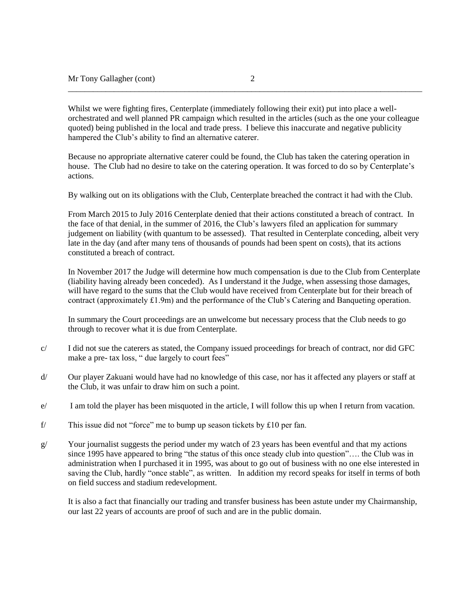Whilst we were fighting fires, Centerplate (immediately following their exit) put into place a wellorchestrated and well planned PR campaign which resulted in the articles (such as the one your colleague quoted) being published in the local and trade press. I believe this inaccurate and negative publicity hampered the Club's ability to find an alternative caterer.

\_\_\_\_\_\_\_\_\_\_\_\_\_\_\_\_\_\_\_\_\_\_\_\_\_\_\_\_\_\_\_\_\_\_\_\_\_\_\_\_\_\_\_\_\_\_\_\_\_\_\_\_\_\_\_\_\_\_\_\_\_\_\_\_\_\_\_\_\_\_\_\_\_\_\_\_\_\_\_\_\_\_\_\_\_

Because no appropriate alternative caterer could be found, the Club has taken the catering operation in house. The Club had no desire to take on the catering operation. It was forced to do so by Centerplate's actions.

By walking out on its obligations with the Club, Centerplate breached the contract it had with the Club.

From March 2015 to July 2016 Centerplate denied that their actions constituted a breach of contract. In the face of that denial, in the summer of 2016, the Club's lawyers filed an application for summary judgement on liability (with quantum to be assessed). That resulted in Centerplate conceding, albeit very late in the day (and after many tens of thousands of pounds had been spent on costs), that its actions constituted a breach of contract.

In November 2017 the Judge will determine how much compensation is due to the Club from Centerplate (liability having already been conceded). As I understand it the Judge, when assessing those damages, will have regard to the sums that the Club would have received from Centerplate but for their breach of contract (approximately £1.9m) and the performance of the Club's Catering and Banqueting operation.

In summary the Court proceedings are an unwelcome but necessary process that the Club needs to go through to recover what it is due from Centerplate.

- c/ I did not sue the caterers as stated, the Company issued proceedings for breach of contract, nor did GFC make a pre- tax loss, " due largely to court fees"
- d/ Our player Zakuani would have had no knowledge of this case, nor has it affected any players or staff at the Club, it was unfair to draw him on such a point.
- e/ I am told the player has been misquoted in the article, I will follow this up when I return from vacation.
- f/ This issue did not "force" me to bump up season tickets by £10 per fan.
- $g$  Your journalist suggests the period under my watch of 23 years has been eventful and that my actions since 1995 have appeared to bring "the status of this once steady club into question"…. the Club was in administration when I purchased it in 1995, was about to go out of business with no one else interested in saving the Club, hardly "once stable", as written. In addition my record speaks for itself in terms of both on field success and stadium redevelopment.

It is also a fact that financially our trading and transfer business has been astute under my Chairmanship, our last 22 years of accounts are proof of such and are in the public domain.